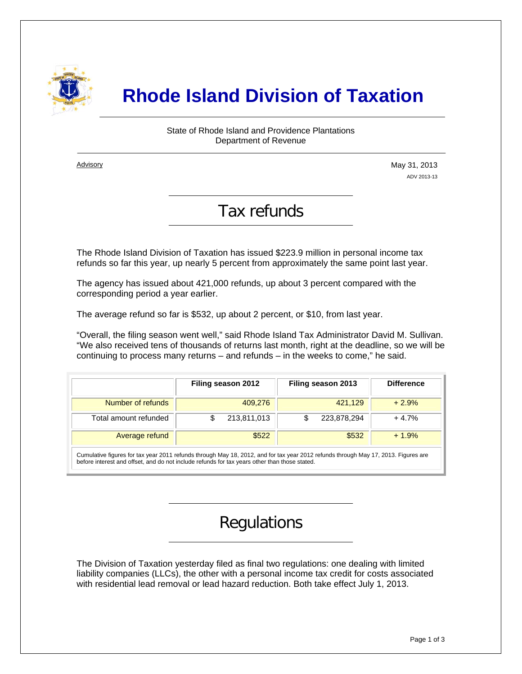

# **Rhode Island Division of Taxation**

#### State of Rhode Island and Providence Plantations Department of Revenue

**Advisory** 

i

May 31, 2013 ADV 2013-13

### Tax refunds

The Rhode Island Division of Taxation has issued \$223.9 million in personal income tax refunds so far this year, up nearly 5 percent from approximately the same point last year.

The agency has issued about 421,000 refunds, up about 3 percent compared with the corresponding period a year earlier.

The average refund so far is \$532, up about 2 percent, or \$10, from last year.

"Overall, the filing season went well," said Rhode Island Tax Administrator David M. Sullivan. "We also received tens of thousands of returns last month, right at the deadline, so we will be continuing to process many returns – and refunds – in the weeks to come," he said.

|                       | Filing season 2012 | Filing season 2013 | <b>Difference</b> |
|-----------------------|--------------------|--------------------|-------------------|
| Number of refunds     | 409,276            | 421,129            | $+2.9%$           |
| Total amount refunded | 213,811,013        | 223,878,294        | $+4.7%$           |
| Average refund        | \$522              | \$532              | $+1.9%$           |

Cumulative figures for tax year 2011 refunds through May 18, 2012, and for tax year 2012 refunds through May 17, 2013. Figures are before interest and offset, and do not include refunds for tax years other than those stated.

## Regulations

The Division of Taxation yesterday filed as final two regulations: one dealing with limited liability companies (LLCs), the other with a personal income tax credit for costs associated with residential lead removal or lead hazard reduction. Both take effect July 1, 2013.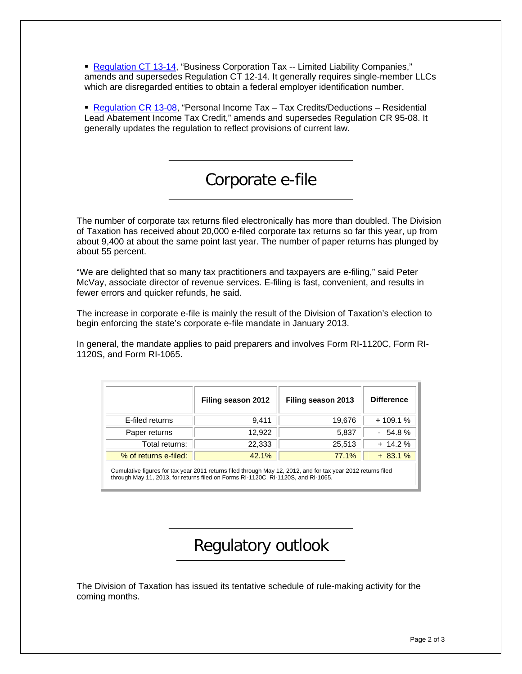[Regulation CT 13-14](http://sos.ri.gov/documents/archives/regdocs/released/pdf/DOTAX/7300.pdf), "Business Corporation Tax -- Limited Liability Companies," amends and supersedes Regulation CT 12-14. It generally requires single-member LLCs which are disregarded entities to obtain a federal employer identification number.

 [Regulation CR 13-08,](http://sos.ri.gov/documents/archives/regdocs/released/pdf/DOTAX/7299.pdf) "Personal Income Tax – Tax Credits/Deductions – Residential Lead Abatement Income Tax Credit," amends and supersedes Regulation CR 95-08. It generally updates the regulation to reflect provisions of current law.

## Corporate e-file

The number of corporate tax returns filed electronically has more than doubled. The Division of Taxation has received about 20,000 e-filed corporate tax returns so far this year, up from about 9,400 at about the same point last year. The number of paper returns has plunged by about 55 percent.

"We are delighted that so many tax practitioners and taxpayers are e-filing," said Peter McVay, associate director of revenue services. E-filing is fast, convenient, and results in fewer errors and quicker refunds, he said.

The increase in corporate e-file is mainly the result of the Division of Taxation's election to begin enforcing the state's corporate e-file mandate in January 2013.

In general, the mandate applies to paid preparers and involves Form RI-1120C, Form RI-1120S, and Form RI-1065.

|                                                                                                              | Filing season 2012 | Filing season 2013 | <b>Difference</b> |  |
|--------------------------------------------------------------------------------------------------------------|--------------------|--------------------|-------------------|--|
| E-filed returns                                                                                              | 9,411              | 19,676             | $+109.1%$         |  |
| Paper returns                                                                                                | 12,922             | 5,837              | $-54.8%$          |  |
| Total returns:                                                                                               | 22,333             | 25,513             | $+ 14.2 \%$       |  |
| % of returns e-filed:                                                                                        | 42.1%              | 77.1%              | $+83.1%$          |  |
| Cumulative figures for tax year 2011 returns filed through May 12, 2012, and for tax year 2012 returns filed |                    |                    |                   |  |

through May 11, 2013, for returns filed on Forms RI-1120C, RI-1120S, and RI-1065.

# Regulatory outlook

The Division of Taxation has issued its tentative schedule of rule-making activity for the coming months.